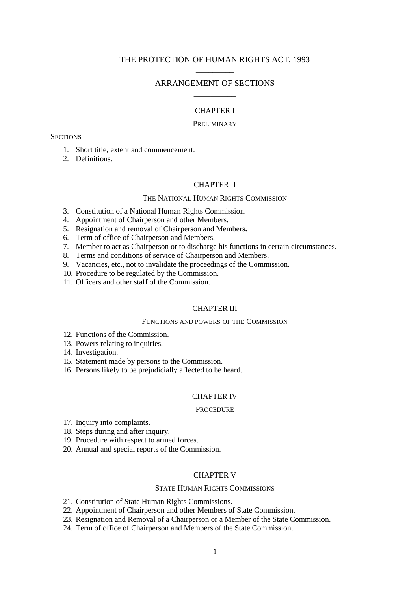# THE PROTECTION OF HUMAN RIGHTS ACT, 1993 \_\_\_\_\_\_\_\_\_

# ARRANGEMENT OF SECTIONS \_\_\_\_\_\_\_\_\_\_

### CHAPTER I

#### PRELIMINARY

## **SECTIONS**

- 1. Short title, extent and commencement.
- 2. Definitions.

## CHAPTER II

## THE NATIONAL HUMAN RIGHTS COMMISSION

- 3. Constitution of a National Human Rights Commission.
- 4. Appointment of Chairperson and other Members.
- 5. Resignation and removal of Chairperson and Members**.**
- 6. Term of office of Chairperson and Members.
- 7. Member to act as Chairperson or to discharge his functions in certain circumstances.
- 8. Terms and conditions of service of Chairperson and Members.
- 9. Vacancies, etc., not to invalidate the proceedings of the Commission.
- 10. Procedure to be regulated by the Commission.
- 11. Officers and other staff of the Commission.

## CHAPTER III

### FUNCTIONS AND POWERS OF THE COMMISSION

- 12. Functions of the Commission.
- 13. Powers relating to inquiries.
- 14. Investigation.
- 15. Statement made by persons to the Commission.
- 16. Persons likely to be prejudicially affected to be heard.

## CHAPTER IV

### **PROCEDURE**

- 17. Inquiry into complaints.
- 18. Steps during and after inquiry.
- 19. Procedure with respect to armed forces.
- 20. Annual and special reports of the Commission.

## CHAPTER V

## STATE HUMAN RIGHTS COMMISSIONS

- 21. Constitution of State Human Rights Commissions.
- 22. Appointment of Chairperson and other Members of State Commission.
- 23. Resignation and Removal of a Chairperson or a Member of the State Commission.
- 24. Term of office of Chairperson and Members of the State Commission.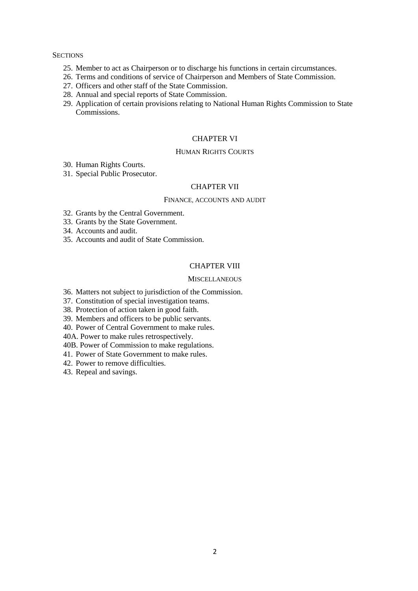### **SECTIONS**

- 25. Member to act as Chairperson or to discharge his functions in certain circumstances.
- 26. Terms and conditions of service of Chairperson and Members of State Commission.
- 27. Officers and other staff of the State Commission.
- 28. Annual and special reports of State Commission.
- 29. Application of certain provisions relating to National Human Rights Commission to State Commissions.

### CHAPTER VI

### HUMAN RIGHTS COURTS

30. Human Rights Courts.

31. Special Public Prosecutor.

## CHAPTER VII

### FINANCE, ACCOUNTS AND AUDIT

- 32. Grants by the Central Government.
- 33. Grants by the State Government.
- 34. Accounts and audit.
- 35. Accounts and audit of State Commission.

# CHAPTER VIII

#### **MISCELLANEOUS**

36. Matters not subject to jurisdiction of the Commission.

37. Constitution of special investigation teams.

38. Protection of action taken in good faith.

39. Members and officers to be public servants.

40. Power of Central Government to make rules.

40A. Power to make rules retrospectively.

40B. Power of Commission to make regulations.

41. Power of State Government to make rules.

42. Power to remove difficulties.

43. Repeal and savings.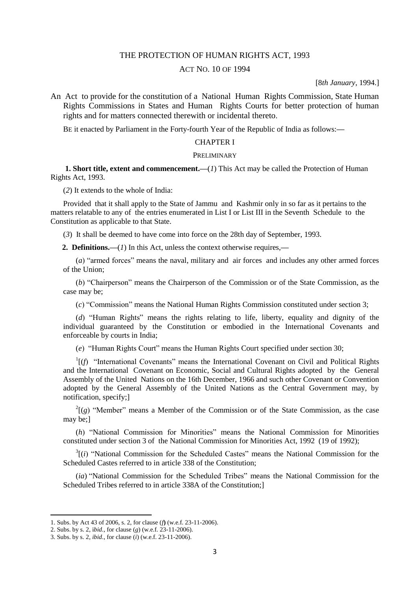# THE PROTECTION OF HUMAN RIGHTS ACT, 1993

# ACT NO. 10 OF 1994

[8*th January*, 1994.]

An Act to provide for the constitution of a National Human Rights Commission, State Human Rights Commissions in States and Human Rights Courts for better protection of human rights and for matters connected therewith or incidental thereto.

BE it enacted by Parliament in the Forty-fourth Year of the Republic of India as follows:**—**

# CHAPTER I

#### PRELIMINARY

**1. Short title, extent and commencement.—**(*1*) This Act may be called the Protection of Human Rights Act, 1993.

(*2*) It extends to the whole of India:

Provided that it shall apply to the State of Jammu and Kashmir only in so far as it pertains to the matters relatable to any of the entries enumerated in List I or List III in the Seventh Schedule to the Constitution as applicable to that State.

(*3*) It shall be deemed to have come into force on the 28th day of September, 1993.

**2. Definitions.—**(*1*) In this Act, unless the context otherwise requires,**—**

(*a*) "armed forces" means the naval, military and air forces and includes any other armed forces of the Union;

(*b*) "Chairperson" means the Chairperson of the Commission or of the State Commission, as the case may be;

(*c*) "Commission" means the National Human Rights Commission constituted under section 3;

(*d*) "Human Rights" means the rights relating to life, liberty, equality and dignity of the individual guaranteed by the Constitution or embodied in the International Covenants and enforceable by courts in India;

(*e*) "Human Rights Court" means the Human Rights Court specified under section 30;

 $\int$ <sup>1</sup>[(*f*) "International Covenants" means the International Covenant on Civil and Political Rights and the International Covenant on Economic, Social and Cultural Rights adopted by the General Assembly of the United Nations on the 16th December, 1966 and such other Covenant or Convention adopted by the General Assembly of the United Nations as the Central Government may, by notification, specify;]

 $2^{2}$ [(g) "Member" means a Member of the Commission or of the State Commission, as the case may be;]

(*h*) "National Commission for Minorities" means the National Commission for Minorities constituted under section 3 of the National Commission for Minorities Act, 1992 (19 of 1992);

 $3$ [(*i*) "National Commission for the Scheduled Castes" means the National Commission for the Scheduled Castes referred to in article 338 of the Constitution;

(*[ia](http://indiankanoon.org/doc/281913/)*) "National Commission for the Scheduled Tribes" means the National Commission for the Scheduled Tribes referred to in article 338A of the Constitution;]

<sup>1.</sup> Subs. by Act 43 of 2006, s. 2, for clause (*f***)** (w.e.f. 23-11-2006).

<sup>2.</sup> Subs. by s. 2, i*bid*., for clause (*g*) (w.e.f. 23-11-2006).

<sup>3.</sup> Subs. by s. 2, *ibid*., for clause (*i*) (w.e.f. 23-11-2006).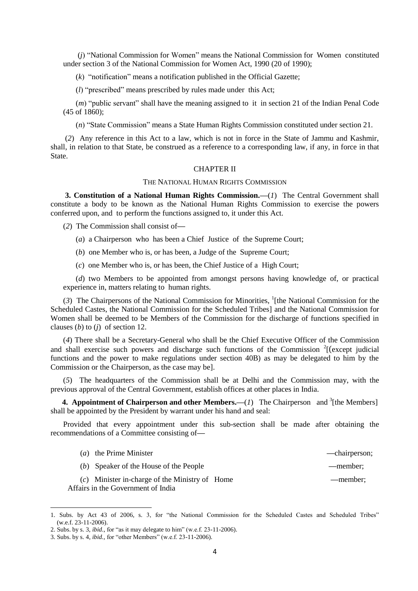(*j*) "National Commission for Women" means the National Commission for Women constituted under section 3 of the National Commission for Women Act, 1990 (20 of 1990);

(*k*) "notification" means a notification published in the Official Gazette;

(*l*) "prescribed" means prescribed by rules made under this Act;

(*m*) "public servant" shall have the meaning assigned to it in section 21 of the Indian Penal Code (45 of 1860);

(*n*) "State Commission" means a State Human Rights Commission constituted under section 21.

(*2*) Any reference in this Act to a law, which is not in force in the State of Jammu and Kashmir, shall, in relation to that State, be construed as a reference to a corresponding law, if any, in force in that State.

### CHAPTER II

### THE NATIONAL HUMAN RIGHTS COMMISSION

**3. Constitution of a National Human Rights Commission.—**(*1*) The Central Government shall constitute a body to be known as the National Human Rights Commission to exercise the powers conferred upon, and to perform the functions assigned to, it under this Act.

(*2*) The Commission shall consist of**—**

- (*a*) a Chairperson who has been a Chief Justice of the Supreme Court;
- (*b*) one Member who is, or has been, a Judge of the Supreme Court;
- (*c*) one Member who is, or has been, the Chief Justice of a High Court;

(*d*) two Members to be appointed from amongst persons having knowledge of, or practical experience in, matters relating to human rights.

(3) The Chairpersons of the National Commission for Minorities,  $\frac{1}{1}$  [the National Commission for the Scheduled Castes, the National Commission for the Scheduled Tribes] and the National Commission for Women shall be deemed to be Members of the Commission for the discharge of functions specified in clauses (*b*) to (*j*) of section 12.

(*4*) There shall be a Secretary-General who shall be the Chief Executive Officer of the Commission and shall exercise such powers and discharge such functions of the Commission  $2$ [(except judicial functions and the power to make regulations under section 40B) as may be delegated to him by the Commission or the Chairperson, as the case may be].

(*5*) The headquarters of the Commission shall be at Delhi and the Commission may, with the previous approval of the Central Government, establish offices at other places in India.

**4. Appointment of Chairperson and other Members.—** $(I)$  **The Chairperson and <sup>3</sup>[the Members]** shall be appointed by the President by warrant under his hand and seal:

Provided that every appointment under this sub-section shall be made after obtaining the recommendations of a Committee consisting of**—**

| (a) the Prime Minister                           | -chairperson; |
|--------------------------------------------------|---------------|
| (b) Speaker of the House of the People           | —member:      |
| $(c)$ Minister in-charge of the Ministry of Home | —member:      |
| Affairs in the Government of India               |               |

<sup>1.</sup> Subs. by Act 43 of 2006, s. 3, for "the National Commission for the Scheduled Castes and Scheduled Tribes" (w.e.f. 23-11-2006).

<sup>2.</sup> Subs. by s. 3, *ibid*., for "as it may delegate to him" (w.e.f. 23-11-2006).

<sup>3.</sup> Subs. by s. 4, *ibid.,* for "other Members" (w.e.f. 23-11-2006).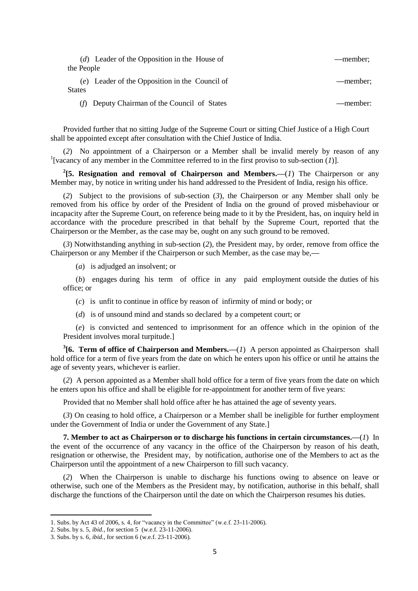| (d) Leader of the Opposition in the House of<br>the People        | —member; |
|-------------------------------------------------------------------|----------|
| $(e)$ Leader of the Opposition in the Council of<br><b>States</b> | —member; |
| (f) Deputy Chairman of the Council of States                      | —member: |

Provided further that no sitting Judge of the Supreme Court or sitting Chief Justice of a High Court shall be appointed except after consultation with the Chief Justice of India.

(*2*) No appointment of a Chairperson or a Member shall be invalid merely by reason of any <sup>1</sup>[vacancy of any member in the Committee referred to in the first proviso to sub-section  $(I)$ ].

<sup>2</sup>[5. Resignation and removal of Chairperson and Members.— $(I)$  The Chairperson or any Member may, by notice in writing under his hand addressed to the President of India, resign his office.

(*2*) Subject to the provisions of sub-section (*3*), the Chairperson or any Member shall only be removed from his office by order of the President of India on the ground of proved misbehaviour or incapacity after the Supreme Court, on reference being made to it by the President, has, on inquiry held in accordance with the procedure prescribed in that behalf by the Supreme Court, reported that the Chairperson or the Member, as the case may be, ought on any such ground to be removed.

(*[3](http://indiankanoon.org/doc/189892/)*) Notwithstanding anything in sub-section (*2*), the President may, by order, remove from office the Chairperson or any Member if the Chairperson or such Member, as the case may be,**—**

(*a*) is adjudged an insolvent; or

(*b*) engages during his term of office in any paid employment outside the duties of his office; or

(*c*) is unfit to continue in office by reason of infirmity of mind or body; or

(*d*) is of unsound mind and stands so declared by a competent court; or

(*[e](http://indiankanoon.org/doc/1575989/)*) is convicted and sentenced to imprisonment for an offence which in the opinion of the President involves moral turpitude.]

**3 [6. Term of office of Chairperson and Members.—**(*1*) A person appointed as Chairperson shall hold office for a term of five years from the date on which he enters upon his office or until he attains the age of seventy years, whichever is earlier.

(*2*) A person appointed as a Member shall hold office for a term of five years from the date on which he enters upon his office and shall be eligible for re-appointment for another term of five years:

Provided that no Member shall hold office after he has attained the age of seventy years.

(*3*) On ceasing to hold office, a Chairperson or a Member shall be ineligible for further employment under the Government of India or under the Government of any State.]

**7. Member to act as Chairperson or to discharge his functions in certain circumstances.—**(*1*) In the event of the occurrence of any vacancy in the office of the Chairperson by reason of his death, resignation or otherwise, the President may, by notification, authorise one of the Members to act as the Chairperson until the appointment of a new Chairperson to fill such vacancy.

(*2*) When the Chairperson is unable to discharge his functions owing to absence on leave or otherwise, such one of the Members as the President may, by notification, authorise in this behalf, shall discharge the functions of the Chairperson until the date on which the Chairperson resumes his duties.

<sup>1.</sup> Subs. by Act 43 of 2006, s. 4, for "vacancy in the Committee" (w.e.f. 23-11-2006).

<sup>2.</sup> Subs. by s. 5, *ibid.,* for section 5 (w.e.f. 23-11-2006).

<sup>3.</sup> Subs. by s. 6, *ibid.*, for section 6 (w.e.f. 23-11-2006).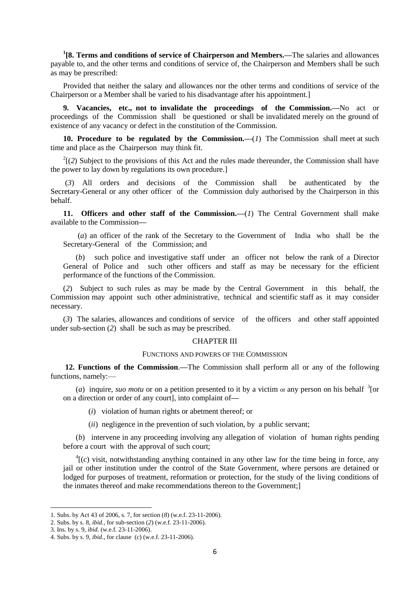<sup>1</sup>[8. Terms and conditions of service of Chairperson and Members.—The salaries and allowances payable to, and the other terms and conditions of service of, the Chairperson and Members shall be such as may be prescribed:

Provided that neither the salary and allowances nor the other terms and conditions of service of the Chairperson or a Member shall be varied to his disadvantage after his appointment.]

**9. Vacancies, etc., not to invalidate the proceedings of the Commission.—**No act or proceedings of the Commission shall be questioned or shall be invalidated merely on the ground of existence of any vacancy or defect in the constitution of the Commission.

**10. Procedure to be regulated by the Commission.—**(*1*) The Commission shall meet at such time and place as the Chairperson may think fit.

 $2^{2}$ [(2) Subject to the provisions of this Act and the rules made thereunder, the Commission shall have the power to lay down by regulations its own procedure.]

(*3*) All orders and decisions of the Commission shall be authenticated by the Secretary-General or any other officer of the Commission duly authorised by the Chairperson in this behalf.

**11. Officers and other staff of the Commission.—**(*1*) The Central Government shall make available to the Commission**—**

(*a*) an officer of the rank of the Secretary to the Government of India who shall be the Secretary-General of the Commission; and

(*b*) such police and investigative staff under an officer not below the rank of a Director General of Police and such other officers and staff as may be necessary for the efficient performance of the functions of the Commission.

(*2*) Subject to such rules as may be made by the Central Government in this behalf, the Commission may appoint such other administrative, technical and scientific staff as it may consider necessary.

(*3*) The salaries, allowances and conditions of service of the officers and other staff appointed under sub-section (*2*) shall be such as may be prescribed.

## CHAPTER III

## FUNCTIONS AND POWERS OF THE COMMISSION

**12. Functions of the Commission**.**—**The Commission shall perform all or any of the following functions, namely:—

(*a*) inquire, *suo motu* or on a petition presented to it by a victim or any person on his behalf  $\frac{3}{2}$  [or on a direction or order of any court], into complaint of*—*

(*i*) violation of human rights or abetment thereof; or

(*ii*) negligence in the prevention of such violation, by a public servant;

(*b*) intervene in any proceeding involving any allegation of violation of human rights pending before a court with the approval of such court;

 ${}^{4}$ [(*c*) visit, notwithstanding anything contained in any other law for the time being in force, any jail or other institution under the control of the State Government, where persons are detained or lodged for purposes of treatment, reformation or protection, for the study of the living conditions of the inmates thereof and make recommendations thereon to the Government;]

<sup>1.</sup> Subs. by Act 43 of 2006, s. 7, for section (*8*) (w.e.f. 23-11-2006).

<sup>2.</sup> Subs. by s. 8, *ibid.*, for sub-section (*2*) (w.e.f. 23-11-2006).

<sup>3.</sup> Ins. by s. 9, *ibid*. (w.e.f. 23-11-2006).

<sup>4.</sup> Subs. by s. 9, *ibid*., for clause (*c*) (w.e.f. 23-11-2006).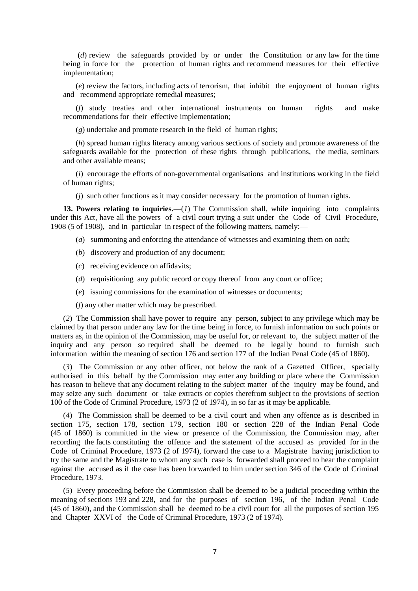(*d*) review the safeguards provided by or under the Constitution or any law for the time being in force for the protection of human rights and recommend measures for their effective implementation;

(*e*) review the factors, including acts of terrorism, that inhibit the enjoyment of human rights and recommend appropriate remedial measures;

(*f*) study treaties and other international instruments on human rights and make recommendations for their effective implementation;

(*g*) undertake and promote research in the field of human rights;

(*h*) spread human rights literacy among various sections of society and promote awareness of the safeguards available for the protection of these rights through publications, the media, seminars and other available means;

(*i*) encourage the efforts of non-governmental organisations and institutions working in the field of human rights;

(*j*) such other functions as it may consider necessary for the promotion of human rights.

13. Powers relating to inquiries.—(1) The Commission shall, while inquiring into complaints under this Act, have all the powers of a civil court trying a suit under the Code of Civil Procedure, 1908 (5 of 1908), and in particular in respect of the following matters, namely:—

- (*a*) summoning and enforcing the attendance of witnesses and examining them on oath;
- (*b*) discovery and production of any document;
- (*c*) receiving evidence on affidavits;
- (*d*) requisitioning any public record or copy thereof from any court or office;
- (*e*) issuing commissions for the examination of witnesses or documents;

(*f*) any other matter which may be prescribed.

(*2*) The Commission shall have power to require any person, subject to any privilege which may be claimed by that person under any law for the time being in force, to furnish information on such points or matters as, in the opinion of the Commission, may be useful for, or relevant to, the subject matter of the inquiry and any person so required shall be deemed to be legally bound to furnish such information within the meaning of section 176 and section 177 of the Indian Penal Code (45 of 1860).

(*3*) The Commission or any other officer, not below the rank of a Gazetted Officer, specially authorised in this behalf by the Commission may enter any building or place where the Commission has reason to believe that any document relating to the subject matter of the inquiry may be found, and may seize any such document or take extracts or copies therefrom subject to the provisions of section 100 of the Code of Criminal Procedure, 1973 (2 of 1974), in so far as it may be applicable.

(*4*) The Commission shall be deemed to be a civil court and when any offence as is described in section 175, section 178, section 179, section 180 or section 228 of the Indian Penal Code (45 of 1860) is committed in the view or presence of the Commission, the Commission may, after recording the facts constituting the offence and the statement of the accused as provided for in the Code of Criminal Procedure, 1973 (2 of 1974), forward the case to a Magistrate having jurisdiction to try the same and the Magistrate to whom any such case is forwarded shall proceed to hear the complaint against the accused as if the case has been forwarded to him under section 346 of the Code of Criminal Procedure, 1973.

(*5*) Every proceeding before the Commission shall be deemed to be a judicial proceeding within the meaning of sections 193 and 228, and for the purposes of section 196, of the Indian Penal Code (45 of 1860), and the Commission shall be deemed to be a civil court for all the purposes of section 195 and Chapter XXVI of the Code of Criminal Procedure, 1973 (2 of 1974).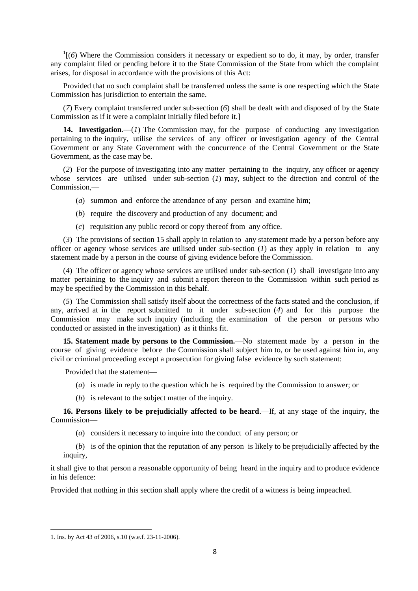$1(6)$  Where the Commission considers it necessary or expedient so to do, it may, by order, transfer any complaint filed or pending before it to the State Commission of the State from which the complaint arises, for disposal in accordance with the provisions of this Act:

Provided that no such complaint shall be transferred unless the same is one respecting which the State Commission has jurisdiction to entertain the same.

(*[7](http://indiankanoon.org/doc/52769/)*) Every complaint transferred under sub-section (*6*) shall be dealt with and disposed of by the State Commission as if it were a complaint initially filed before it.]

**14. Investigation**.—(*1*) The Commission may, for the purpose of conducting any investigation pertaining to the inquiry, utilise the services of any officer or investigation agency of the Central Government or any State Government with the concurrence of the Central Government or the State Government, as the case may be.

(*2*) For the purpose of investigating into any matter pertaining to the inquiry, any officer or agency whose services are utilised under sub-section (*1*) may, subject to the direction and control of the Commission,—

(*a*) summon and enforce the attendance of any person and examine him;

- (*b*) require the discovery and production of any document; and
- (*c*) requisition any public record or copy thereof from any office.

(*3*) The provisions of section 15 shall apply in relation to any statement made by a person before any officer or agency whose services are utilised under sub-section (*1*) as they apply in relation to any statement made by a person in the course of giving evidence before the Commission.

(*4*) The officer or agency whose services are utilised under sub-section (*1*) shall investigate into any matter pertaining to the inquiry and submit a report thereon to the Commission within such period as may be specified by the Commission in this behalf.

(*5*) The Commission shall satisfy itself about the correctness of the facts stated and the conclusion, if any, arrived at in the report submitted to it under sub-section (*4*) and for this purpose the Commission may make such inquiry (including the examination of the person or persons who conducted or assisted in the investigation) as it thinks fit.

**15. Statement made by persons to the Commission.**—No statement made by a person in the course of giving evidence before the Commission shall subject him to, or be used against him in, any civil or criminal proceeding except a prosecution for giving false evidence by such statement:

Provided that the statement—

- (*a*) is made in reply to the question which he is required by the Commission to answer; or
- (*b*) is relevant to the subject matter of the inquiry.

**16. Persons likely to be prejudicially affected to be heard**.—If, at any stage of the inquiry, the Commission—

- (*a*) considers it necessary to inquire into the conduct of any person; or
- (*b*) is of the opinion that the reputation of any person is likely to be prejudicially affected by the inquiry,

it shall give to that person a reasonable opportunity of being heard in the inquiry and to produce evidence in his defence:

Provided that nothing in this section shall apply where the credit of a witness is being impeached.

**<sup>.</sup>** 1. Ins. by Act 43 of 2006, s.10 (w.e.f. 23-11-2006).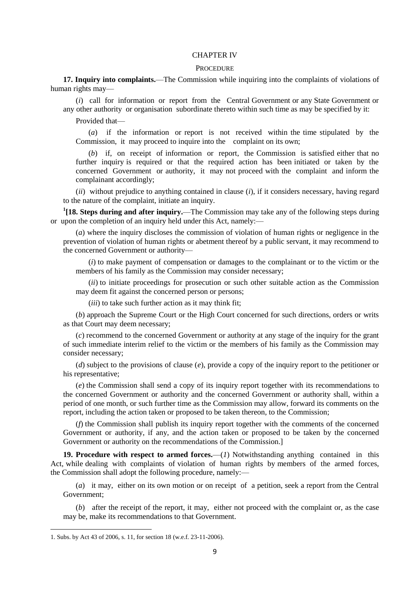## CHAPTER IV

### **PROCEDURE**

**17. Inquiry into complaints.**—The Commission while inquiring into the complaints of violations of human rights may—

(*i*) call for information or report from the Central Government or any State Government or any other authority or organisation subordinate thereto within such time as may be specified by it:

Provided that—

(*a*) if the information or report is not received within the time stipulated by the Commission, it may proceed to inquire into the complaint on its own;

(*b*) if, on receipt of information or report, the Commission is satisfied either that no further inquiry is required or that the required action has been initiated or taken by the concerned Government or authority, it may not proceed with the complaint and inform the complainant accordingly;

(*ii*) without prejudice to anything contained in clause (*i*), if it considers necessary, having regard to the nature of the complaint, initiate an inquiry.

**1 [18. Steps during and after inquiry.**—The Commission may take any of the following steps during or upon the completion of an inquiry held under this Act, namely:—

(*a*) where the inquiry discloses the commission of violation of human rights or negligence in the prevention of violation of human rights or abetment thereof by a public servant, it may recommend to the concerned Government or authority—

[\(](http://indiankanoon.org/doc/487849/)*i*) to make payment of compensation or damages to the complainant or to the victim or the members of his family as the Commission may consider necessary;

(*[ii](http://indiankanoon.org/doc/73824/)*) to initiate proceedings for prosecution or such other suitable action as the Commission may deem fit against the concerned person or persons;

(*[iii](http://indiankanoon.org/doc/484657/)*) to take such further action as it may think fit;

(*[b](http://indiankanoon.org/doc/792656/)*) approach the Supreme Court or the High Court concerned for such directions, orders or writs as that Court may deem necessary;

(*[c](http://indiankanoon.org/doc/257373/)*) recommend to the concerned Government or authority at any stage of the inquiry for the grant of such immediate interim relief to the victim or the members of his family as the Commission may consider necessary;

(*[d](http://indiankanoon.org/doc/493514/)*) subject to the provisions of clause (*e*), provide a copy of the inquiry report to the petitioner or his representative;

(*[e](http://indiankanoon.org/doc/1807416/)*) the Commission shall send a copy of its inquiry report together with its recommendations to the concerned Government or authority and the concerned Government or authority shall, within a period of one month, or such further time as the Commission may allow, forward its comments on the report, including the action taken or proposed to be taken thereon, to the Commission;

[\(](http://indiankanoon.org/doc/1453801/)*f*) the Commission shall publish its inquiry report together with the comments of the concerned Government or authority, if any, and the action taken or proposed to be taken by the concerned Government or authority on the recommendations of the Commission.]

**19. Procedure with respect to armed forces.**—(*1*) Notwithstanding anything contained in this Act, while dealing with complaints of violation of human rights by members of the armed forces, the Commission shall adopt the following procedure, namely:—

(*a*) it may, either on its own motion or on receipt of a petition, seek a report from the Central Government;

(*b*) after the receipt of the report, it may, either not proceed with the complaint or, as the case may be, make its recommendations to that Government.

<sup>1.</sup> Subs. by Act 43 of 2006, s. 11, for section 18 (w.e.f. 23-11-2006).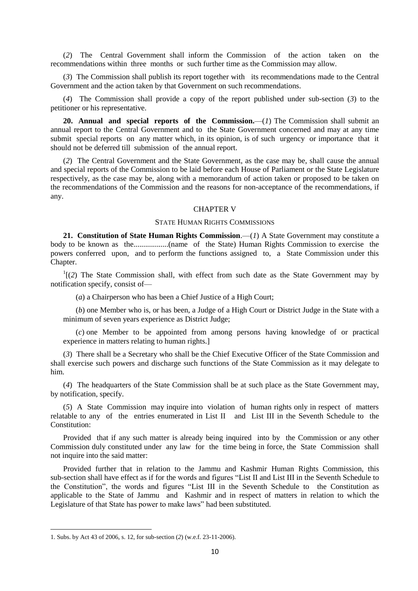(*2*) The Central Government shall inform the Commission of the action taken on the recommendations within three months or such further time as the Commission may allow.

(*3*) The Commission shall publish its report together with its recommendations made to the Central Government and the action taken by that Government on such recommendations.

(*4*) The Commission shall provide a copy of the report published under sub-section (*3*) to the petitioner or his representative.

**20. Annual and special reports of the Commission.**—(*1*) The Commission shall submit an annual report to the Central Government and to the State Government concerned and may at any time submit special reports on any matter which, in its opinion, is of such urgency or importance that it should not be deferred till submission of the annual report.

(*2*) The Central Government and the State Government, as the case may be, shall cause the annual and special reports of the Commission to be laid before each House of Parliament or the State Legislature respectively, as the case may be, along with a memorandum of action taken or proposed to be taken on the recommendations of the Commission and the reasons for non-acceptance of the recommendations, if any.

### CHAPTER V

## STATE HUMAN RIGHTS COMMISSIONS

**21. Constitution of State Human Rights Commission**.—(*1*) A State Government may constitute a body to be known as the..................(name of the State) Human Rights Commission to exercise the powers conferred upon, and to perform the functions assigned to, a State Commission under this Chapter.

 $I(2)$  The State Commission shall, with effect from such date as the State Government may by notification specify, consist of—

(*[a](http://indiankanoon.org/doc/721379/)*) a Chairperson who has been a Chief Justice of a High Court;

(*[b](http://indiankanoon.org/doc/1001808/)*) one Member who is, or has been, a Judge of a High Court or District Judge in the State with a minimum of seven years experience as District Judge;

(*[c](http://indiankanoon.org/doc/612234/)*) one Member to be appointed from among persons having knowledge of or practical experience in matters relating to human rights.]

(*3*) There shall be a Secretary who shall be the Chief Executive Officer of the State Commission and shall exercise such powers and discharge such functions of the State Commission as it may delegate to him.

(*4*) The headquarters of the State Commission shall be at such place as the State Government may, by notification, specify.

(*5*) A State Commission may inquire into violation of human rights only in respect of matters relatable to any of the entries enumerated in List II and List III in the Seventh Schedule to the Constitution:

Provided that if any such matter is already being inquired into by the Commission or any other Commission duly constituted under any law for the time being in force, the State Commission shall not inquire into the said matter:

Provided further that in relation to the Jammu and Kashmir Human Rights Commission, this sub-section shall have effect as if for the words and figures "List II and List III in the Seventh Schedule to the Constitution", the words and figures "List III in the Seventh Schedule to the Constitution as applicable to the State of Jammu and Kashmir and in respect of matters in relation to which the Legislature of that State has power to make laws" had been substituted.

<sup>1.</sup> Subs. by Act 43 of 2006, s. 12, for sub-section (*2*) (w.e.f. 23-11-2006).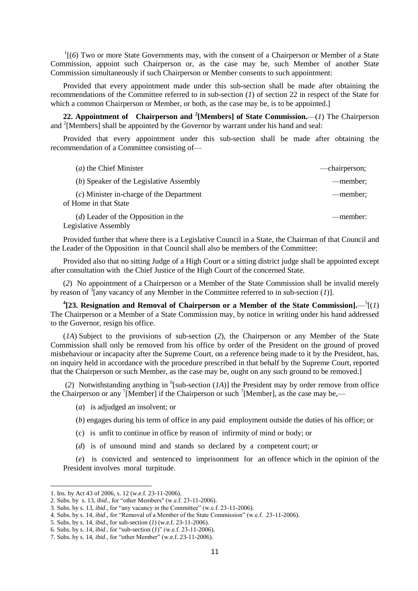$1(6)$  Two or more State Governments may, with the consent of a Chairperson or Member of a State Commission, appoint such Chairperson or, as the case may be, such Member of another State Commission simultaneously if such Chairperson or Member consents to such appointment:

Provided that every appointment made under this sub-section shall be made after obtaining the recommendations of the Committee referred to in sub-section (*1*) of section 22 in respect of the State for which a common Chairperson or Member, or both, as the case may be, is to be appointed.

**22. Appointment of Chairperson and <sup>2</sup> [Members] of State Commission.**—(*1*) The Chairperson and <sup>2</sup>[Members] shall be appointed by the Governor by warrant under his hand and seal:

Provided that every appointment under this sub-section shall be made after obtaining the recommendation of a Committee consisting of—

| ( <i>a</i> ) the Chief Minister                                     | -chairperson; |
|---------------------------------------------------------------------|---------------|
| (b) Speaker of the Legislative Assembly                             | —member;      |
| $(c)$ Minister in-charge of the Department<br>of Home in that State | —member;      |
| $(d)$ Leader of the Opposition in the<br>Legislative Assembly       | —member:      |

Provided further that where there is a Legislative Council in a State, the Chairman of that Council and the Leader of the Opposition in that Council shall also be members of the Committee:

Provided also that no sitting Judge of a High Court or a sitting district judge shall be appointed except after consultation with the Chief Justice of the High Court of the concerned State.

(*2*) No appointment of a Chairperson or a Member of the State Commission shall be invalid merely by reason of <sup>3</sup> [any vacancy of any Member in the Committee referred to in sub-section (*1*)].

<sup>4</sup>[23. Resignation and Removal of Chairperson or a Member of the State Commission]. $-$ <sup>5</sup>[(1) The Chairperson or a Member of a State Commission may, by notice in writing under his hand addressed to the Governor, resign his office.

(*[1A](http://indiankanoon.org/doc/508679/)*) Subject to the provisions of sub-section (*2*), the Chairperson or any Member of the State Commission shall only be removed from his office by order of the President on the ground of proved misbehaviour or incapacity after the Supreme Court, on a reference being made to it by the President, has, on inquiry held in accordance with the procedure prescribed in that behalf by the Supreme Court, reported that the Chairperson or such Member, as the case may be, ought on any such ground to be removed.]

(2) Notwithstanding anything in  ${}^{6}$ [sub-section (*1A*)] the President may by order remove from office the Chairperson or any <sup>7</sup>[Member] if the Chairperson or such <sup>7</sup>[Member], as the case may be,—

- (*a*) is adjudged an insolvent; or
- (*b*) engages during his term of office in any paid employment outside the duties of his office; or
- (c) is unfit to continue in office by reason of infirmity of mind or body; or
- (*d*) is of unsound mind and stands so declared by a competent court; or

(*e*) is convicted and sentenced to imprisonment for an offence which in the opinion of the President involves moral turpitude.

1

<sup>1.</sup> Ins. by Act 43 of 2006, s. 12 (w.e.f. 23-11-2006).

<sup>2.</sup> Subs. by s. 13, *ibid*., for "other Members" (w.e.f. 23-11-2006).

<sup>3.</sup> Subs. by s. 13, *ibid*., for "any vacancy in the Committee" (w.e.f. 23-11-2006).

<sup>4.</sup> Subs. by s. 14, *ibid*., for "Removal of a Member of the State Commission" (w.e.f. 23-11-2006).

<sup>5.</sup> Subs. by s. 14, *ibid*., for sub-section (*1*) (w.e.f. 23-11-2006).

<sup>6.</sup> Subs. by s. 14, *ibid*., for "sub-section (*1*)" (w.e.f. 23-11-2006).

<sup>7.</sup> Subs. by s. 14, *ibid*., for "other Member" (w.e.f. 23-11-2006).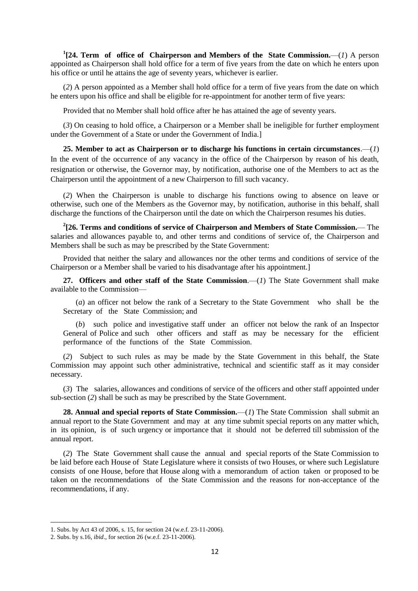<sup>1</sup>[24. Term of office of Chairperson and Members of the State Commission.—(*1*) A person appointed as Chairperson shall hold office for a term of five years from the date on which he enters upon his office or until he attains the age of seventy years, whichever is earlier.

(*[2](http://indiankanoon.org/doc/1849955/)*) A person appointed as a Member shall hold office for a term of five years from the date on which he enters upon his office and shall be eligible for re-appointment for another term of five years:

Provided that no Member shall hold office after he has attained the age of seventy years.

(*[3](http://indiankanoon.org/doc/336355/)*) On ceasing to hold office, a Chairperson or a Member shall be ineligible for further employment under the Government of a State or under the Government of India.]

**25. Member to act as Chairperson or to discharge his functions in certain circumstances**.—(*1*) In the event of the occurrence of any vacancy in the office of the Chairperson by reason of his death, resignation or otherwise, the Governor may, by notification, authorise one of the Members to act as the Chairperson until the appointment of a new Chairperson to fill such vacancy.

(*2*) When the Chairperson is unable to discharge his functions owing to absence on leave or otherwise, such one of the Members as the Governor may, by notification, authorise in this behalf, shall discharge the functions of the Chairperson until the date on which the Chairperson resumes his duties.

**2 [26. Terms and conditions of service of Chairperson and Members of State Commission.**— The salaries and allowances payable to, and other terms and conditions of service of, the Chairperson and Members shall be such as may be prescribed by the State Government:

Provided that neither the salary and allowances nor the other terms and conditions of service of the Chairperson or a Member shall be varied to his disadvantage after his appointment.]

**27. Officers and other staff of the State Commission**.—(*1*) The State Government shall make available to the Commission—

(*a*) an officer not below the rank of a Secretary to the State Government who shall be the Secretary of the State Commission; and

(*b*) such police and investigative staff under an officer not below the rank of an Inspector General of Police and such other officers and staff as may be necessary for the efficient performance of the functions of the State Commission.

(*2*) Subject to such rules as may be made by the State Government in this behalf, the State Commission may appoint such other administrative, technical and scientific staff as it may consider necessary.

(*3*) The salaries, allowances and conditions of service of the officers and other staff appointed under sub-section (*2*) shall be such as may be prescribed by the State Government.

28. Annual and special reports of State Commission.—(*1*) The State Commission shall submit an annual report to the State Government and may at any time submit special reports on any matter which, in its opinion, is of such urgency or importance that it should not be deferred till submission of the annual report.

(*2*) The State Government shall cause the annual and special reports of the State Commission to be laid before each House of State Legislature where it consists of two Houses, or where such Legislature consists of one House, before that House along with a memorandum of action taken or proposed to be taken on the recommendations of the State Commission and the reasons for non-acceptance of the recommendations, if any.

1

<sup>1.</sup> Subs. by Act 43 of 2006, s. 15, for section 24 (w.e.f. 23-11-2006).

<sup>2.</sup> Subs. by s.16, *ibid*., for section 26 (w.e.f. 23-11-2006).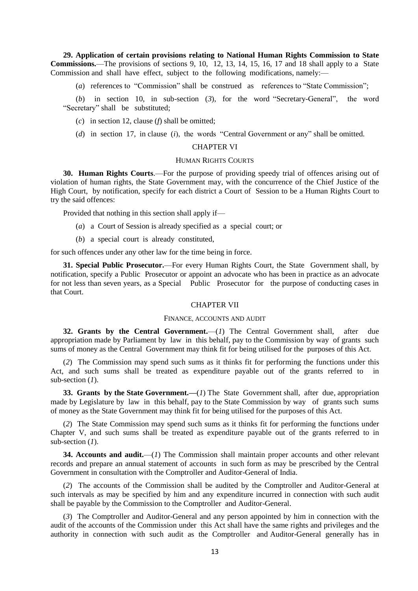**29. Application of certain provisions relating to National Human Rights Commission to State Commissions.**—The provisions of sections 9, 10, 12, 13, 14, 15, 16, 17 and 18 shall apply to a State Commission and shall have effect, subject to the following modifications, namely:—

(*a*) references to "Commission" shall be construed as references to "State Commission";

(*b*) in section 10, in sub-section (*3*), for the word "Secretary-General", the word "Secretary" shall be substituted;

- (*c*) in section 12, clause (*f*) shall be omitted;
- (*d*) in section 17, in clause (*i*), the words "Central Government or any" shall be omitted.

### CHAPTER VI

## HUMAN RIGHTS COURTS

**30. Human Rights Courts**.—For the purpose of providing speedy trial of offences arising out of violation of human rights, the State Government may, with the concurrence of the Chief Justice of the High Court, by notification, specify for each district a Court of Session to be a Human Rights Court to try the said offences:

Provided that nothing in this section shall apply if—

- (*a*) a Court of Session is already specified as a special court; or
- (*b*) a special court is already constituted,

for such offences under any other law for the time being in force.

**31. Special Public Prosecutor.**—For every Human Rights Court, the State Government shall, by notification, specify a Public Prosecutor or appoint an advocate who has been in practice as an advocate for not less than seven years, as a Special Public Prosecutor for the purpose of conducting cases in that Court.

#### CHAPTER VII

## FINANCE, ACCOUNTS AND AUDIT

**32. Grants by the Central Government.**—(*1*) The Central Government shall, after due appropriation made by Parliament by law in this behalf, pay to the Commission by way of grants such sums of money as the Central Government may think fit for being utilised for the purposes of this Act.

(*2*) The Commission may spend such sums as it thinks fit for performing the functions under this Act, and such sums shall be treated as expenditure payable out of the grants referred to in sub-section (*1*).

**33. Grants by the State Government.**—(*1*) The State Government shall, after due, appropriation made by Legislature by law in this behalf, pay to the State Commission by way of grants such sums of money as the State Government may think fit for being utilised for the purposes of this Act.

(*2*) The State Commission may spend such sums as it thinks fit for performing the functions under Chapter V, and such sums shall be treated as expenditure payable out of the grants referred to in sub-section (*1*).

**34. Accounts and audit.**—(*1*) The Commission shall maintain proper accounts and other relevant records and prepare an annual statement of accounts in such form as may be prescribed by the Central Government in consultation with the Comptroller and Auditor-General of India.

(*2*) The accounts of the Commission shall be audited by the Comptroller and Auditor-General at such intervals as may be specified by him and any expenditure incurred in connection with such audit shall be payable by the Commission to the Comptroller and Auditor-General.

(*3*) The Comptroller and Auditor-General and any person appointed by him in connection with the audit of the accounts of the Commission under this Act shall have the same rights and privileges and the authority in connection with such audit as the Comptroller and Auditor-General generally has in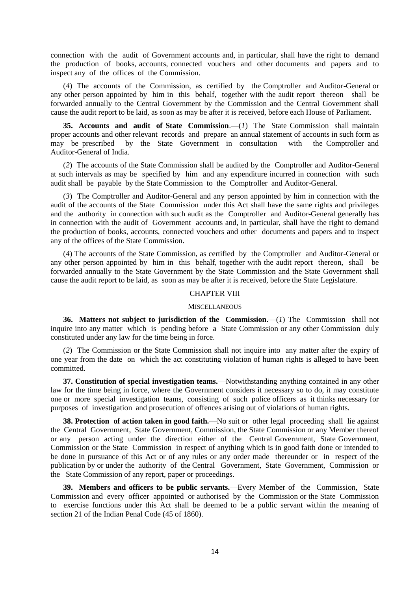connection with the audit of Government accounts and, in particular, shall have the right to demand the production of books, accounts, connected vouchers and other documents and papers and to inspect any of the offices of the Commission.

(*4*) The accounts of the Commission, as certified by the Comptroller and Auditor-General or any other person appointed by him in this behalf, together with the audit report thereon shall be forwarded annually to the Central Government by the Commission and the Central Government shall cause the audit report to be laid, as soon as may be after it is received, before each House of Parliament.

**35. Accounts and audit of State Commission**.—(*1*) The State Commission shall maintain proper accounts and other relevant records and prepare an annual statement of accounts in such form as may be prescribed by the State Government in consultation with the Comptroller and Auditor-General of India.

(*2*) The accounts of the State Commission shall be audited by the Comptroller and Auditor-General at such intervals as may be specified by him and any expenditure incurred in connection with such audit shall be payable by the State Commission to the Comptroller and Auditor-General.

(*3*) The Comptroller and Auditor-General and any person appointed by him in connection with the audit of the accounts of the State Commission under this Act shall have the same rights and privileges and the authority in connection with such audit as the Comptroller and Auditor-General generally has in connection with the audit of Government accounts and, in particular, shall have the right to demand the production of books, accounts, connected vouchers and other documents and papers and to inspect any of the offices of the State Commission.

(*4*) The accounts of the State Commission, as certified by the Comptroller and Auditor-General or any other person appointed by him in this behalf, together with the audit report thereon, shall be forwarded annually to the State Government by the State Commission and the State Government shall cause the audit report to be laid, as soon as may be after it is received, before the State Legislature.

### CHAPTER VIII

#### **MISCELLANEOUS**

**36. Matters not subject to jurisdiction of the Commission.**—(*1*) The Commission shall not inquire into any matter which is pending before a State Commission or any other Commission duly constituted under any law for the time being in force.

(*2*) The Commission or the State Commission shall not inquire into any matter after the expiry of one year from the date on which the act constituting violation of human rights is alleged to have been committed.

**37. Constitution of special investigation teams.**—Notwithstanding anything contained in any other law for the time being in force, where the Government considers it necessary so to do, it may constitute one or more special investigation teams, consisting of such police officers as it thinks necessary for purposes of investigation and prosecution of offences arising out of violations of human rights.

**38. Protection of action taken in good faith.**—No suit or other legal proceeding shall lie against the Central Government, State Government, Commission, the State Commission or any Member thereof or any person acting under the direction either of the Central Government, State Government, Commission or the State Commission in respect of anything which is in good faith done or intended to be done in pursuance of this Act or of any rules or any order made thereunder or in respect of the publication by or under the authority of the Central Government, State Government, Commission or the State Commission of any report, paper or proceedings.

**39. Members and officers to be public servants.**—Every Member of the Commission, State Commission and every officer appointed or authorised by the Commission or the State Commission to exercise functions under this Act shall be deemed to be a public servant within the meaning of section 21 of the Indian Penal Code (45 of 1860).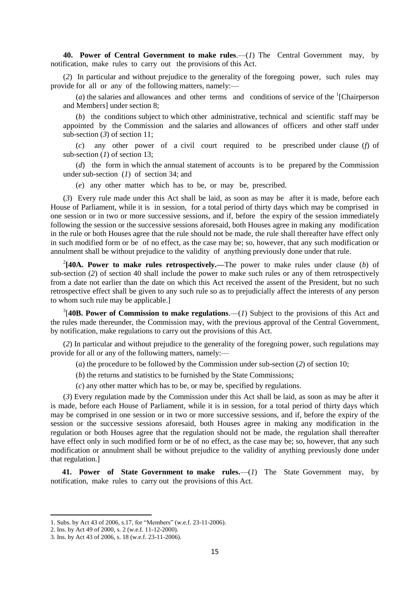**40. Power of Central Government to make rules**.—(*1*) The Central Government may, by notification, make rules to carry out the provisions of this Act.

(*2*) In particular and without prejudice to the generality of the foregoing power, such rules may provide for all or any of the following matters, namely:—

(*a*) the salaries and allowances and other terms and conditions of service of the  ${}^{1}$ [Chairperson and Members] under section 8;

(*b*) the conditions subject to which other administrative, technical and scientific staff may be appointed by the Commission and the salaries and allowances of officers and other staff under sub-section  $(3)$  of section 11;

(*c*) any other power of a civil court required to be prescribed under clause (*f*) of sub-section (*1*) of section 13;

(*d*) the form in which the annual statement of accounts is to be prepared by the Commission under sub-section (*1*) of section 34; and

(*e*) any other matter which has to be, or may be, prescribed.

(*3*) Every rule made under this Act shall be laid, as soon as may be after it is made, before each House of Parliament, while it is in session, for a total period of thirty days which may be comprised in one session or in two or more successive sessions, and if, before the expiry of the session immediately following the session or the successive sessions aforesaid, both Houses agree in making any modification in the rule or both Houses agree that the rule should not be made, the rule shall thereafter have effect only in such modified form or be of no effect, as the case may be; so, however, that any such modification or annulment shall be without prejudice to the validity of anything previously done under that rule.

2 **[40A. Power to make rules retrospectively.—**The power to make rules under clause (*b*) of sub-section (*2*) of section 40 shall include the power to make such rules or any of them retrospectively from a date not earlier than the date on which this Act received the assent of the President, but no such retrospective effect shall be given to any such rule so as to prejudicially affect the interests of any person to whom such rule may be applicable.]

3 [**40B. Power of Commission to make regulations**.—(*1*) Subject to the provisions of this Act and the rules made thereunder, the Commission may, with the previous approval of the Central Government, by notification, make regulations to carry out the provisions of this Act.

(*[2](http://indiankanoon.org/doc/1457333/)*) In particular and without prejudice to the generality of the foregoing power, such regulations may provide for all or any of the following matters, namely:—

(*[a](http://indiankanoon.org/doc/1953854/)*) the procedure to be followed by the Commission under sub-section (*2*) of section 10;

(*[b](http://indiankanoon.org/doc/166315/)*) the returns and statistics to be furnished by the State Commissions;

(*[c](http://indiankanoon.org/doc/445564/)*) any other matter which has to be, or may be, specified by regulations.

(*[3](http://indiankanoon.org/doc/1862225/)*) Every regulation made by the Commission under this Act shall be laid, as soon as may be after it is made, before each House of Parliament, while it is in session, for a total period of thirty days which may be comprised in one session or in two or more successive sessions, and if, before the expiry of the session or the successive sessions aforesaid, both Houses agree in making any modification in the regulation or both Houses agree that the regulation should not be made, the regulation shall thereafter have effect only in such modified form or be of no effect, as the case may be; so, however, that any such modification or annulment shall be without prejudice to the validity of anything previously done under that regulation.]

 **41. Power of State Government to make rules.**—(*1*) The State Government may, by notification, make rules to carry out the provisions of this Act.

<sup>1.</sup> Subs. by Act 43 of 2006, s.17, for "Members" (w.e.f. 23-11-2006).

<sup>2.</sup> Ins. by Act 49 of 2000, s. 2 (w.e.f. 11-12-2000).

<sup>3.</sup> Ins. by Act 43 of 2006, s. 18 (w.e.f. 23-11-2006).